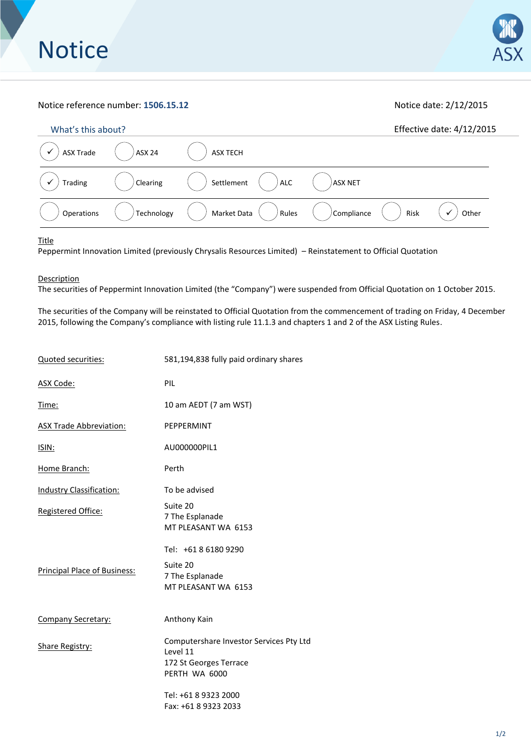## Notice reference number: **1506.15.12** Notice date: 2/12/2015

| What's this about? |               |                          |            |      | Effective date: 4/12/2015 |
|--------------------|---------------|--------------------------|------------|------|---------------------------|
| <b>ASX Trade</b>   | <b>ASX 24</b> | <b>ASX TECH</b>          |            |      |                           |
| Trading            | Clearing      | <b>ALC</b><br>Settlement | ASX NET    |      |                           |
| Operations         | Technology    | Market Data<br>Rules     | Compliance | Risk | Other                     |

**Title** 

Peppermint Innovation Limited (previously Chrysalis Resources Limited) – Reinstatement to Official Quotation

**Description** 

The securities of Peppermint Innovation Limited (the "Company") were suspended from Official Quotation on 1 October 2015.

The securities of the Company will be reinstated to Official Quotation from the commencement of trading on Friday, 4 December 2015, following the Company's compliance with listing rule 11.1.3 and chapters 1 and 2 of the ASX Listing Rules.

| Quoted securities:                  | 581,194,838 fully paid ordinary shares                                                         |  |  |
|-------------------------------------|------------------------------------------------------------------------------------------------|--|--|
| ASX Code:                           | PIL                                                                                            |  |  |
| Time:                               | 10 am AEDT (7 am WST)                                                                          |  |  |
| <b>ASX Trade Abbreviation:</b>      | PEPPERMINT                                                                                     |  |  |
| ISIN:                               | AU000000PIL1                                                                                   |  |  |
| Home Branch:                        | Perth                                                                                          |  |  |
| Industry Classification:            | To be advised                                                                                  |  |  |
| Registered Office:                  | Suite 20<br>7 The Esplanade<br>MT PLEASANT WA 6153                                             |  |  |
| <b>Principal Place of Business:</b> | Tel: +61 8 6180 9290<br>Suite 20<br>7 The Esplanade<br>MT PLEASANT WA 6153                     |  |  |
| <b>Company Secretary:</b>           | Anthony Kain                                                                                   |  |  |
| <b>Share Registry:</b>              | Computershare Investor Services Pty Ltd<br>Level 11<br>172 St Georges Terrace<br>PERTH WA 6000 |  |  |
|                                     | Tel: +61 8 9323 2000<br>Fax: +61 8 9323 2033                                                   |  |  |